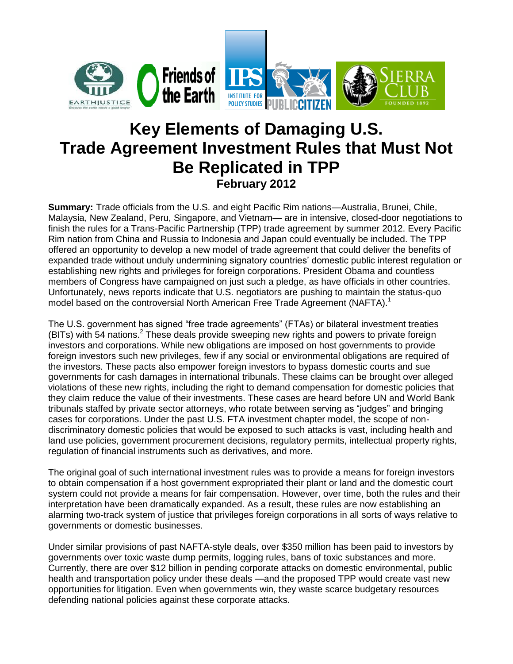

# **Key Elements of Damaging U.S. Trade Agreement Investment Rules that Must Not Be Replicated in TPP February 2012**

**Summary:** Trade officials from the U.S. and eight Pacific Rim nations—Australia, Brunei, Chile, Malaysia, New Zealand, Peru, Singapore, and Vietnam— are in intensive, closed-door negotiations to finish the rules for a Trans-Pacific Partnership (TPP) trade agreement by summer 2012. Every Pacific Rim nation from China and Russia to Indonesia and Japan could eventually be included. The TPP offered an opportunity to develop a new model of trade agreement that could deliver the benefits of expanded trade without unduly undermining signatory countries' domestic public interest regulation or establishing new rights and privileges for foreign corporations. President Obama and countless members of Congress have campaigned on just such a pledge, as have officials in other countries. Unfortunately, news reports indicate that U.S. negotiators are pushing to maintain the status-quo model based on the controversial North American Free Trade Agreement (NAFTA).<sup>1</sup>

The U.S. government has signed "free trade agreements" (FTAs) or bilateral investment treaties (BITs) with 54 nations.<sup>2</sup> These deals provide sweeping new rights and powers to private foreign investors and corporations. While new obligations are imposed on host governments to provide foreign investors such new privileges, few if any social or environmental obligations are required of the investors. These pacts also empower foreign investors to bypass domestic courts and sue governments for cash damages in international tribunals. These claims can be brought over alleged violations of these new rights, including the right to demand compensation for domestic policies that they claim reduce the value of their investments. These cases are heard before UN and World Bank tribunals staffed by private sector attorneys, who rotate between serving as "judges" and bringing cases for corporations. Under the past U.S. FTA investment chapter model, the scope of nondiscriminatory domestic policies that would be exposed to such attacks is vast, including health and land use policies, government procurement decisions, regulatory permits, intellectual property rights, regulation of financial instruments such as derivatives, and more.

The original goal of such international investment rules was to provide a means for foreign investors to obtain compensation if a host government expropriated their plant or land and the domestic court system could not provide a means for fair compensation. However, over time, both the rules and their interpretation have been dramatically expanded. As a result, these rules are now establishing an alarming two-track system of justice that privileges foreign corporations in all sorts of ways relative to governments or domestic businesses.

Under similar provisions of past NAFTA-style deals, over \$350 million has been paid to investors by governments over toxic waste dump permits, logging rules, bans of toxic substances and more. Currently, there are over \$12 billion in pending corporate attacks on domestic environmental, public health and transportation policy under these deals —and the proposed TPP would create vast new opportunities for litigation. Even when governments win, they waste scarce budgetary resources defending national policies against these corporate attacks.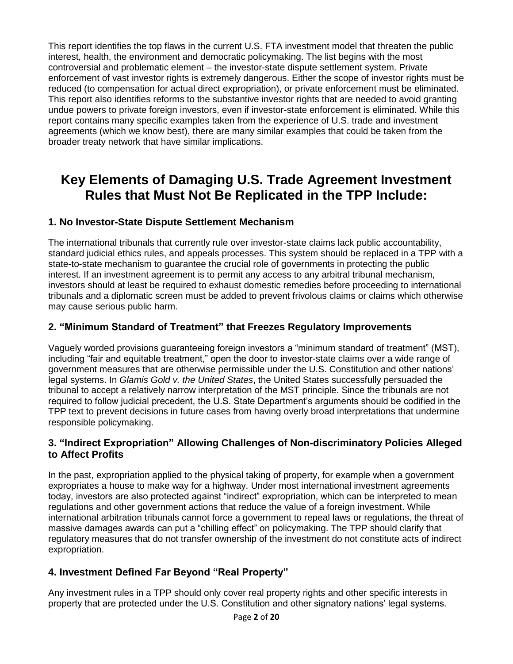This report identifies the top flaws in the current U.S. FTA investment model that threaten the public interest, health, the environment and democratic policymaking. The list begins with the most controversial and problematic element – the investor-state dispute settlement system. Private enforcement of vast investor rights is extremely dangerous. Either the scope of investor rights must be reduced (to compensation for actual direct expropriation), or private enforcement must be eliminated. This report also identifies reforms to the substantive investor rights that are needed to avoid granting undue powers to private foreign investors, even if investor-state enforcement is eliminated. While this report contains many specific examples taken from the experience of U.S. trade and investment agreements (which we know best), there are many similar examples that could be taken from the broader treaty network that have similar implications.

# **Key Elements of Damaging U.S. Trade Agreement Investment Rules that Must Not Be Replicated in the TPP Include:**

## **1. No Investor-State Dispute Settlement Mechanism**

The international tribunals that currently rule over investor-state claims lack public accountability, standard judicial ethics rules, and appeals processes. This system should be replaced in a TPP with a state-to-state mechanism to guarantee the crucial role of governments in protecting the public interest. If an investment agreement is to permit any access to any arbitral tribunal mechanism, investors should at least be required to exhaust domestic remedies before proceeding to international tribunals and a diplomatic screen must be added to prevent frivolous claims or claims which otherwise may cause serious public harm.

## **2. "Minimum Standard of Treatment" that Freezes Regulatory Improvements**

Vaguely worded provisions guaranteeing foreign investors a "minimum standard of treatment" (MST), including "fair and equitable treatment," open the door to investor-state claims over a wide range of government measures that are otherwise permissible under the U.S. Constitution and other nations' legal systems. In *Glamis Gold v. the United States*, the United States successfully persuaded the tribunal to accept a relatively narrow interpretation of the MST principle. Since the tribunals are not required to follow judicial precedent, the U.S. State Department's arguments should be codified in the TPP text to prevent decisions in future cases from having overly broad interpretations that undermine responsible policymaking.

### **3. "Indirect Expropriation" Allowing Challenges of Non-discriminatory Policies Alleged to Affect Profits**

In the past, expropriation applied to the physical taking of property, for example when a government expropriates a house to make way for a highway. Under most international investment agreements today, investors are also protected against "indirect" expropriation, which can be interpreted to mean regulations and other government actions that reduce the value of a foreign investment. While international arbitration tribunals cannot force a government to repeal laws or regulations, the threat of massive damages awards can put a "chilling effect" on policymaking. The TPP should clarify that regulatory measures that do not transfer ownership of the investment do not constitute acts of indirect expropriation.

# **4. Investment Defined Far Beyond "Real Property"**

Any investment rules in a TPP should only cover real property rights and other specific interests in property that are protected under the U.S. Constitution and other signatory nations' legal systems.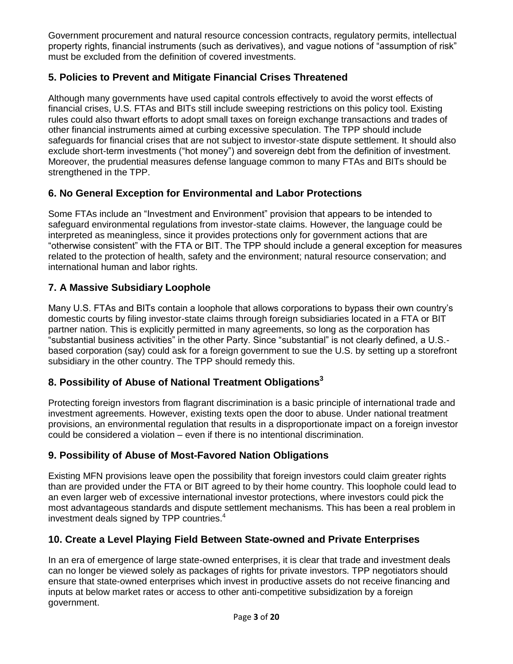Government procurement and natural resource concession contracts, regulatory permits, intellectual property rights, financial instruments (such as derivatives), and vague notions of "assumption of risk" must be excluded from the definition of covered investments.

# **5. Policies to Prevent and Mitigate Financial Crises Threatened**

Although many governments have used capital controls effectively to avoid the worst effects of financial crises, U.S. FTAs and BITs still include sweeping restrictions on this policy tool. Existing rules could also thwart efforts to adopt small taxes on foreign exchange transactions and trades of other financial instruments aimed at curbing excessive speculation. The TPP should include safeguards for financial crises that are not subject to investor-state dispute settlement. It should also exclude short-term investments ("hot money") and sovereign debt from the definition of investment. Moreover, the prudential measures defense language common to many FTAs and BITs should be strengthened in the TPP.

# **6. No General Exception for Environmental and Labor Protections**

Some FTAs include an "Investment and Environment" provision that appears to be intended to safeguard environmental regulations from investor-state claims. However, the language could be interpreted as meaningless, since it provides protections only for government actions that are "otherwise consistent" with the FTA or BIT. The TPP should include a general exception for measures related to the protection of health, safety and the environment; natural resource conservation; and international human and labor rights.

# **7. A Massive Subsidiary Loophole**

Many U.S. FTAs and BITs contain a loophole that allows corporations to bypass their own country's domestic courts by filing investor-state claims through foreign subsidiaries located in a FTA or BIT partner nation. This is explicitly permitted in many agreements, so long as the corporation has "substantial business activities" in the other Party. Since "substantial" is not clearly defined, a U.S. based corporation (say) could ask for a foreign government to sue the U.S. by setting up a storefront subsidiary in the other country. The TPP should remedy this.

# **8. Possibility of Abuse of National Treatment Obligations<sup>3</sup>**

Protecting foreign investors from flagrant discrimination is a basic principle of international trade and investment agreements. However, existing texts open the door to abuse. Under national treatment provisions, an environmental regulation that results in a disproportionate impact on a foreign investor could be considered a violation – even if there is no intentional discrimination.

# **9. Possibility of Abuse of Most-Favored Nation Obligations**

Existing MFN provisions leave open the possibility that foreign investors could claim greater rights than are provided under the FTA or BIT agreed to by their home country. This loophole could lead to an even larger web of excessive international investor protections, where investors could pick the most advantageous standards and dispute settlement mechanisms. This has been a real problem in investment deals signed by TPP countries. 4

# **10. Create a Level Playing Field Between State-owned and Private Enterprises**

In an era of emergence of large state-owned enterprises, it is clear that trade and investment deals can no longer be viewed solely as packages of rights for private investors. TPP negotiators should ensure that state-owned enterprises which invest in productive assets do not receive financing and inputs at below market rates or access to other anti-competitive subsidization by a foreign government.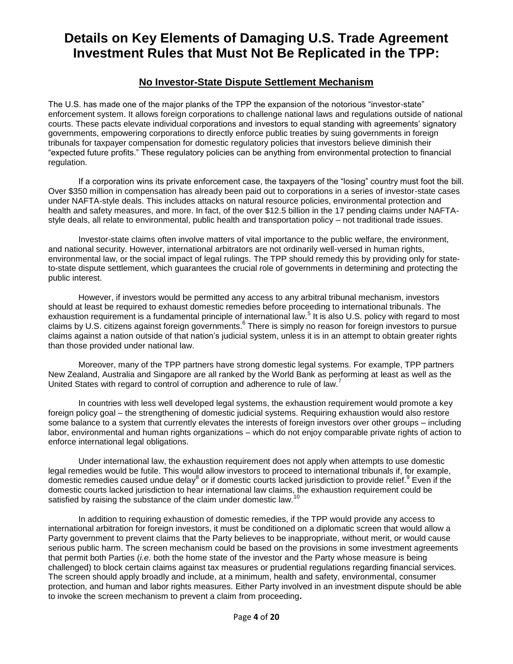# **Details on Key Elements of Damaging U.S. Trade Agreement Investment Rules that Must Not Be Replicated in the TPP:**

### **No Investor-State Dispute Settlement Mechanism**

The U.S. has made one of the major planks of the TPP the expansion of the notorious "investor-state" enforcement system. It allows foreign corporations to challenge national laws and regulations outside of national courts. These pacts elevate individual corporations and investors to equal standing with agreements' signatory governments, empowering corporations to directly enforce public treaties by suing governments in foreign tribunals for taxpayer compensation for domestic regulatory policies that investors believe diminish their "expected future profits." These regulatory policies can be anything from environmental protection to financial regulation.

If a corporation wins its private enforcement case, the taxpayers of the "losing" country must foot the bill. Over \$350 million in compensation has already been paid out to corporations in a series of investor-state cases under NAFTA-style deals. This includes attacks on natural resource policies, environmental protection and health and safety measures, and more. In fact, of the over \$12.5 billion in the 17 pending claims under NAFTAstyle deals, all relate to environmental, public health and transportation policy – not traditional trade issues.

Investor-state claims often involve matters of vital importance to the public welfare, the environment, and national security. However, international arbitrators are not ordinarily well-versed in human rights, environmental law, or the social impact of legal rulings. The TPP should remedy this by providing only for stateto-state dispute settlement, which guarantees the crucial role of governments in determining and protecting the public interest.

However, if investors would be permitted any access to any arbitral tribunal mechanism, investors should at least be required to exhaust domestic remedies before proceeding to international tribunals. The exhaustion requirement is a fundamental principle of international law.<sup>5</sup> It is also U.S. policy with regard to most claims by U.S. citizens against foreign governments.<sup>6</sup> There is simply no reason for foreign investors to pursue claims against a nation outside of that nation's judicial system, unless it is in an attempt to obtain greater rights than those provided under national law.

Moreover, many of the TPP partners have strong domestic legal systems. For example, TPP partners New Zealand, Australia and Singapore are all ranked by the World Bank as performing at least as well as the United States with regard to control of corruption and adherence to rule of law.<sup>7</sup>

In countries with less well developed legal systems, the exhaustion requirement would promote a key foreign policy goal – the strengthening of domestic judicial systems. Requiring exhaustion would also restore some balance to a system that currently elevates the interests of foreign investors over other groups – including labor, environmental and human rights organizations – which do not enjoy comparable private rights of action to enforce international legal obligations.

Under international law, the exhaustion requirement does not apply when attempts to use domestic legal remedies would be futile. This would allow investors to proceed to international tribunals if, for example, domestic remedies caused undue delay<sup>8</sup> or if domestic courts lacked jurisdiction to provide relief.<sup>9</sup> Even if the domestic courts lacked jurisdiction to hear international law claims, the exhaustion requirement could be satisfied by raising the substance of the claim under domestic law.<sup>10</sup>

In addition to requiring exhaustion of domestic remedies, if the TPP would provide any access to international arbitration for foreign investors, it must be conditioned on a diplomatic screen that would allow a Party government to prevent claims that the Party believes to be inappropriate, without merit, or would cause serious public harm. The screen mechanism could be based on the provisions in some investment agreements that permit both Parties (*i.e.* both the home state of the investor and the Party whose measure is being challenged) to block certain claims against tax measures or prudential regulations regarding financial services. The screen should apply broadly and include, at a minimum, health and safety, environmental, consumer protection, and human and labor rights measures. Either Party involved in an investment dispute should be able to invoke the screen mechanism to prevent a claim from proceeding**.**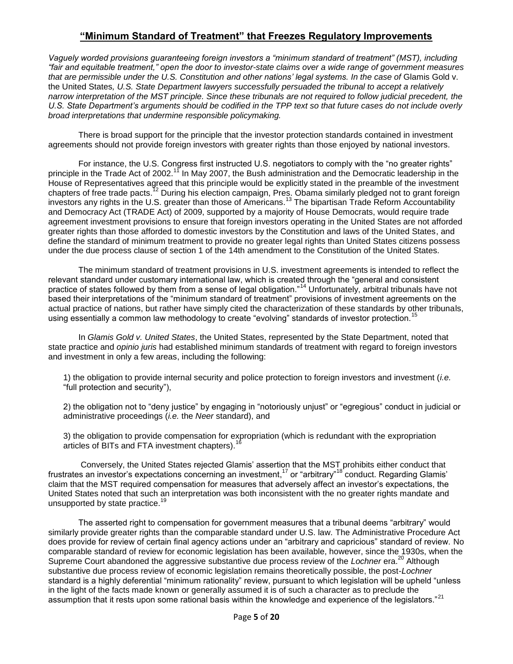### **"Minimum Standard of Treatment" that Freezes Regulatory Improvements**

*Vaguely worded provisions guaranteeing foreign investors a "minimum standard of treatment" (MST), including "fair and equitable treatment," open the door to investor-state claims over a wide range of government measures that are permissible under the U.S. Constitution and other nations' legal systems. In the case of* Glamis Gold v. the United States*, U.S. State Department lawyers successfully persuaded the tribunal to accept a relatively narrow interpretation of the MST principle. Since these tribunals are not required to follow judicial precedent, the U.S. State Department's arguments should be codified in the TPP text so that future cases do not include overly broad interpretations that undermine responsible policymaking.* 

There is broad support for the principle that the investor protection standards contained in investment agreements should not provide foreign investors with greater rights than those enjoyed by national investors.

For instance, the U.S. Congress first instructed U.S. negotiators to comply with the "no greater rights" principle in the Trade Act of 2002.<sup>11</sup> In May 2007, the Bush administration and the Democratic leadership in the House of Representatives agreed that this principle would be explicitly stated in the preamble of the investment chapters of free trade pacts.<sup>12</sup> During his election campaign, Pres. Obama similarly pledged not to grant foreign investors any rights in the U.S. greater than those of Americans.<sup>13</sup> The bipartisan Trade Reform Accountability and Democracy Act (TRADE Act) of 2009, supported by a majority of House Democrats, would require trade agreement investment provisions to ensure that foreign investors operating in the United States are not afforded greater rights than those afforded to domestic investors by the Constitution and laws of the United States, and define the standard of minimum treatment to provide no greater legal rights than United States citizens possess under the due process clause of section 1 of the 14th amendment to the Constitution of the United States.

The minimum standard of treatment provisions in U.S. investment agreements is intended to reflect the relevant standard under customary international law, which is created through the "general and consistent practice of states followed by them from a sense of legal obligation."<sup>14</sup> Unfortunately, arbitral tribunals have not based their interpretations of the "minimum standard of treatment" provisions of investment agreements on the actual practice of nations, but rather have simply cited the characterization of these standards by other tribunals, using essentially a common law methodology to create "evolving" standards of investor protection.<sup>15</sup>

In *Glamis Gold v. United States*, the United States, represented by the State Department, noted that state practice and *opinio juris* had established minimum standards of treatment with regard to foreign investors and investment in only a few areas, including the following:

1) the obligation to provide internal security and police protection to foreign investors and investment (*i.e.* "full protection and security"),

2) the obligation not to "deny justice" by engaging in "notoriously unjust" or "egregious" conduct in judicial or administrative proceedings (*i.e.* the *Neer* standard), and

3) the obligation to provide compensation for expropriation (which is redundant with the expropriation articles of BITs and FTA investment chapters).<sup>1</sup>

Conversely, the United States rejected Glamis' assertion that the MST prohibits either conduct that frustrates an investor's expectations concerning an investment,<sup>17</sup> or "arbitrary"<sup>18</sup> conduct. Regarding Glamis' claim that the MST required compensation for measures that adversely affect an investor's expectations, the United States noted that such an interpretation was both inconsistent with the no greater rights mandate and unsupported by state practice.<sup>1</sup>

The asserted right to compensation for government measures that a tribunal deems "arbitrary" would similarly provide greater rights than the comparable standard under U.S. law. The Administrative Procedure Act does provide for review of certain final agency actions under an "arbitrary and capricious" standard of review. No comparable standard of review for economic legislation has been available, however, since the 1930s, when the Supreme Court abandoned the aggressive substantive due process review of the *Lochner* era.<sup>20</sup> Although substantive due process review of economic legislation remains theoretically possible, the post-*Lochner* standard is a highly deferential "minimum rationality" review, pursuant to which legislation will be upheld "unless in the light of the facts made known or generally assumed it is of such a character as to preclude the assumption that it rests upon some rational basis within the knowledge and experience of the legislators."<sup>21</sup>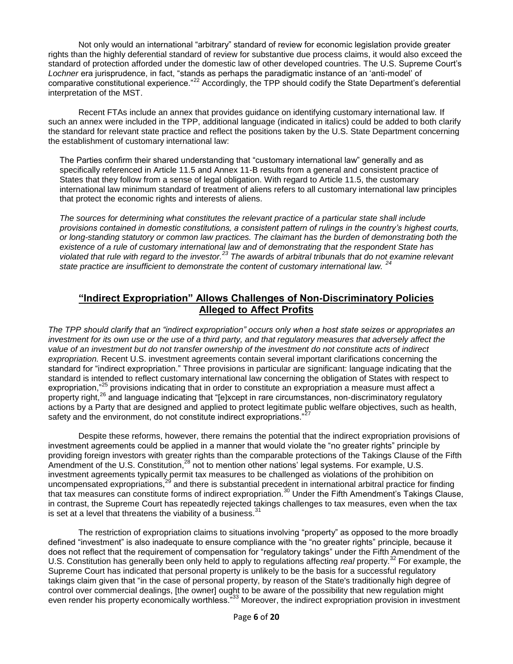Not only would an international "arbitrary" standard of review for economic legislation provide greater rights than the highly deferential standard of review for substantive due process claims, it would also exceed the standard of protection afforded under the domestic law of other developed countries. The U.S. Supreme Court's *Lochner* era jurisprudence, in fact, "stands as perhaps the paradigmatic instance of an 'anti-model' of comparative constitutional experience."<sup>22</sup> Accordingly, the TPP should codify the State Department's deferential interpretation of the MST.

Recent FTAs include an annex that provides guidance on identifying customary international law. If such an annex were included in the TPP, additional language (indicated in italics) could be added to both clarify the standard for relevant state practice and reflect the positions taken by the U.S. State Department concerning the establishment of customary international law:

The Parties confirm their shared understanding that "customary international law" generally and as specifically referenced in Article 11.5 and Annex 11-B results from a general and consistent practice of States that they follow from a sense of legal obligation. With regard to Article 11.5, the customary international law minimum standard of treatment of aliens refers to all customary international law principles that protect the economic rights and interests of aliens.

*The sources for determining what constitutes the relevant practice of a particular state shall include provisions contained in domestic constitutions, a consistent pattern of rulings in the country's highest courts, or long-standing statutory or common law practices. The claimant has the burden of demonstrating both the existence of a rule of customary international law and of demonstrating that the respondent State has violated that rule with regard to the investor.<sup>23</sup> The awards of arbitral tribunals that do not examine relevant state practice are insufficient to demonstrate the content of customary international law. <sup>24</sup>*

### **"Indirect Expropriation" Allows Challenges of Non-Discriminatory Policies Alleged to Affect Profits**

*The TPP should clarify that an "indirect expropriation" occurs only when a host state seizes or appropriates an investment for its own use or the use of a third party, and that regulatory measures that adversely affect the value of an investment but do not transfer ownership of the investment do not constitute acts of indirect expropriation.* Recent U.S. investment agreements contain several important clarifications concerning the standard for "indirect expropriation." Three provisions in particular are significant: language indicating that the standard is intended to reflect customary international law concerning the obligation of States with respect to expropriation,"<sup>25</sup> provisions indicating that in order to constitute an expropriation a measure must affect a property right,<sup>26</sup> and language indicating that "[e]xcept in rare circumstances, non-discriminatory regulatory actions by a Party that are designed and applied to protect legitimate public welfare objectives, such as health, safety and the environment, do not constitute indirect expropriations."

Despite these reforms, however, there remains the potential that the indirect expropriation provisions of investment agreements could be applied in a manner that would violate the "no greater rights" principle by providing foreign investors with greater rights than the comparable protections of the Takings Clause of the Fifth Amendment of the U.S. Constitution,<sup>28</sup> not to mention other nations' legal systems. For example, U.S. investment agreements typically permit tax measures to be challenged as violations of the prohibition on uncompensated expropriations, $^{29}$  and there is substantial precedent in international arbitral practice for finding that tax measures can constitute forms of indirect expropriation.<sup>30</sup> Under the Fifth Amendment's Takings Clause, in contrast, the Supreme Court has repeatedly rejected takings challenges to tax measures, even when the tax is set at a level that threatens the viability of a business. $31$ 

The restriction of expropriation claims to situations involving "property" as opposed to the more broadly defined "investment" is also inadequate to ensure compliance with the "no greater rights" principle, because it does not reflect that the requirement of compensation for "regulatory takings" under the Fifth Amendment of the U.S. Constitution has generally been only held to apply to regulations affecting *real* property.<sup>32</sup> For example, the Supreme Court has indicated that personal property is unlikely to be the basis for a successful regulatory takings claim given that "in the case of personal property, by reason of the State's traditionally high degree of control over commercial dealings, [the owner] ought to be aware of the possibility that new regulation might even render his property economically worthless."<sup>33</sup> Moreover, the indirect expropriation provision in investment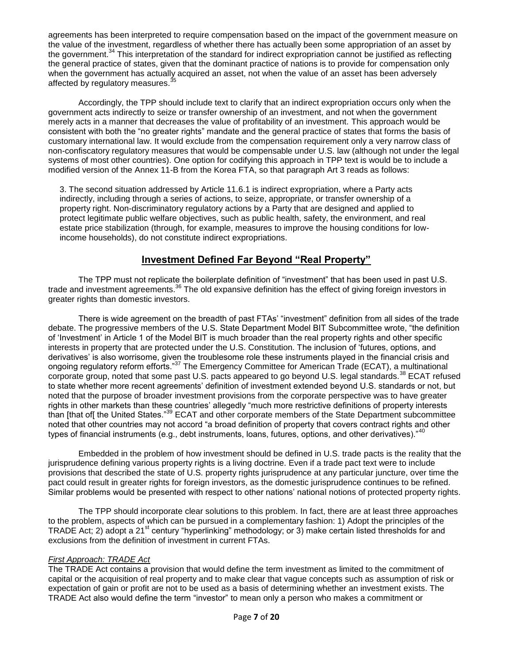agreements has been interpreted to require compensation based on the impact of the government measure on the value of the investment, regardless of whether there has actually been some appropriation of an asset by the government.<sup>34</sup> This interpretation of the standard for indirect expropriation cannot be justified as reflecting the general practice of states, given that the dominant practice of nations is to provide for compensation only when the government has actually acquired an asset, not when the value of an asset has been adversely affected by regulatory measures.

Accordingly, the TPP should include text to clarify that an indirect expropriation occurs only when the government acts indirectly to seize or transfer ownership of an investment, and not when the government merely acts in a manner that decreases the value of profitability of an investment. This approach would be consistent with both the "no greater rights" mandate and the general practice of states that forms the basis of customary international law. It would exclude from the compensation requirement only a very narrow class of non-confiscatory regulatory measures that would be compensable under U.S. law (although not under the legal systems of most other countries). One option for codifying this approach in TPP text is would be to include a modified version of the Annex 11-B from the Korea FTA, so that paragraph Art 3 reads as follows:

3. The second situation addressed by Article 11.6.1 is indirect expropriation, where a Party acts indirectly, including through a series of actions, to seize, appropriate, or transfer ownership of a property right. Non-discriminatory regulatory actions by a Party that are designed and applied to protect legitimate public welfare objectives, such as public health, safety, the environment, and real estate price stabilization (through, for example, measures to improve the housing conditions for lowincome households), do not constitute indirect expropriations.

# **Investment Defined Far Beyond "Real Property"**

The TPP must not replicate the boilerplate definition of "investment" that has been used in past U.S. trade and investment agreements.<sup>36</sup> The old expansive definition has the effect of giving foreign investors in greater rights than domestic investors.

There is wide agreement on the breadth of past FTAs' "investment" definition from all sides of the trade debate. The progressive members of the U.S. State Department Model BIT Subcommittee wrote, "the definition of 'Investment' in Article 1 of the Model BIT is much broader than the real property rights and other specific interests in property that are protected under the U.S. Constitution. The inclusion of 'futures, options, and derivatives' is also worrisome, given the troublesome role these instruments played in the financial crisis and ongoing regulatory reform efforts."<sup>37</sup> The Emergency Committee for American Trade (ECAT), a multinational corporate group, noted that some past U.S. pacts appeared to go beyond U.S. legal standards.<sup>38</sup> ECAT refused to state whether more recent agreements' definition of investment extended beyond U.S. standards or not, but noted that the purpose of broader investment provisions from the corporate perspective was to have greater rights in other markets than these countries' allegedly "much more restrictive definitions of property interests than [that of[ the United States."<sup>39</sup> ECAT and other corporate members of the State Department subcommittee noted that other countries may not accord "a broad definition of property that covers contract rights and other types of financial instruments (e.g., debt instruments, loans, futures, options, and other derivatives)."<sup>4</sup>

Embedded in the problem of how investment should be defined in U.S. trade pacts is the reality that the jurisprudence defining various property rights is a living doctrine. Even if a trade pact text were to include provisions that described the state of U.S. property rights jurisprudence at any particular juncture, over time the pact could result in greater rights for foreign investors, as the domestic jurisprudence continues to be refined. Similar problems would be presented with respect to other nations' national notions of protected property rights.

The TPP should incorporate clear solutions to this problem. In fact, there are at least three approaches to the problem, aspects of which can be pursued in a complementary fashion: 1) Adopt the principles of the TRADE Act; 2) adopt a 21<sup>st</sup> century "hyperlinking" methodology; or 3) make certain listed thresholds for and exclusions from the definition of investment in current FTAs.

#### *First Approach: TRADE Act*

The TRADE Act contains a provision that would define the term investment as limited to the commitment of capital or the acquisition of real property and to make clear that vague concepts such as assumption of risk or expectation of gain or profit are not to be used as a basis of determining whether an investment exists. The TRADE Act also would define the term "investor" to mean only a person who makes a commitment or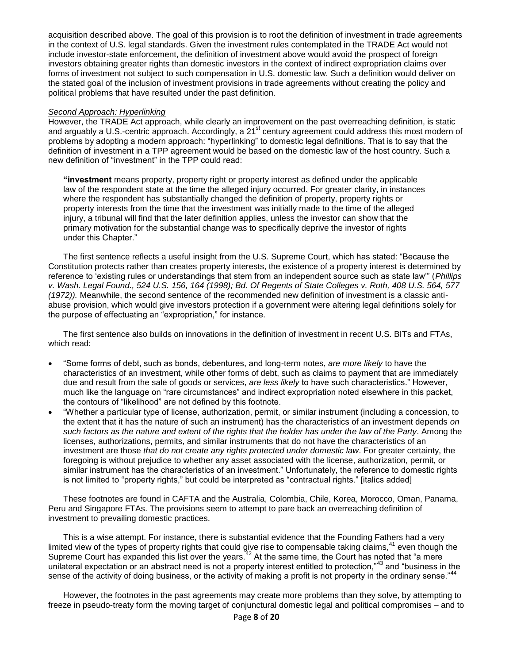acquisition described above. The goal of this provision is to root the definition of investment in trade agreements in the context of U.S. legal standards. Given the investment rules contemplated in the TRADE Act would not include investor-state enforcement, the definition of investment above would avoid the prospect of foreign investors obtaining greater rights than domestic investors in the context of indirect expropriation claims over forms of investment not subject to such compensation in U.S. domestic law. Such a definition would deliver on the stated goal of the inclusion of investment provisions in trade agreements without creating the policy and political problems that have resulted under the past definition.

#### *Second Approach: Hyperlinking*

However, the TRADE Act approach, while clearly an improvement on the past overreaching definition, is static and arguably a U.S.-centric approach. Accordingly, a 21<sup>st</sup> century agreement could address this most modern of problems by adopting a modern approach: "hyperlinking" to domestic legal definitions. That is to say that the definition of investment in a TPP agreement would be based on the domestic law of the host country. Such a new definition of "investment" in the TPP could read:

**"investment** means property, property right or property interest as defined under the applicable law of the respondent state at the time the alleged injury occurred. For greater clarity, in instances where the respondent has substantially changed the definition of property, property rights or property interests from the time that the investment was initially made to the time of the alleged injury, a tribunal will find that the later definition applies, unless the investor can show that the primary motivation for the substantial change was to specifically deprive the investor of rights under this Chapter."

The first sentence reflects a useful insight from the U.S. Supreme Court, which has stated: "Because the Constitution protects rather than creates property interests, the existence of a property interest is determined by reference to 'existing rules or understandings that stem from an independent source such as state law'" (*Phillips v. Wash. Legal Found., 524 U.S. 156, 164 (1998); Bd. Of Regents of State Colleges v. Roth, 408 U.S. 564, 577 (1972)).* Meanwhile, the second sentence of the recommended new definition of investment is a classic antiabuse provision, which would give investors protection if a government were altering legal definitions solely for the purpose of effectuating an "expropriation," for instance.

The first sentence also builds on innovations in the definition of investment in recent U.S. BITs and FTAs, which read:

- "Some forms of debt, such as bonds, debentures, and long-term notes, *are more likely* to have the characteristics of an investment, while other forms of debt, such as claims to payment that are immediately due and result from the sale of goods or services, *are less likely* to have such characteristics." However, much like the language on "rare circumstances" and indirect expropriation noted elsewhere in this packet, the contours of "likelihood" are not defined by this footnote.
- "Whether a particular type of license, authorization, permit, or similar instrument (including a concession, to the extent that it has the nature of such an instrument) has the characteristics of an investment depends *on such factors as the nature and extent of the rights that the holder has under the law of the Party*. Among the licenses, authorizations, permits, and similar instruments that do not have the characteristics of an investment are those *that do not create any rights protected under domestic law*. For greater certainty, the foregoing is without prejudice to whether any asset associated with the license, authorization, permit, or similar instrument has the characteristics of an investment." Unfortunately, the reference to domestic rights is not limited to "property rights," but could be interpreted as "contractual rights." [italics added]

These footnotes are found in CAFTA and the Australia, Colombia, Chile, Korea, Morocco, Oman, Panama, Peru and Singapore FTAs. The provisions seem to attempt to pare back an overreaching definition of investment to prevailing domestic practices.

This is a wise attempt. For instance, there is substantial evidence that the Founding Fathers had a very limited view of the types of property rights that could give rise to compensable taking claims,<sup>41</sup> even though the Supreme Court has expanded this list over the years.<sup>42</sup> At the same time, the Court has noted that "a mere unilateral expectation or an abstract need is not a property interest entitled to protection,"<sup>43</sup> and "business in the sense of the activity of doing business, or the activity of making a profit is not property in the ordinary sense."

However, the footnotes in the past agreements may create more problems than they solve, by attempting to freeze in pseudo-treaty form the moving target of conjunctural domestic legal and political compromises – and to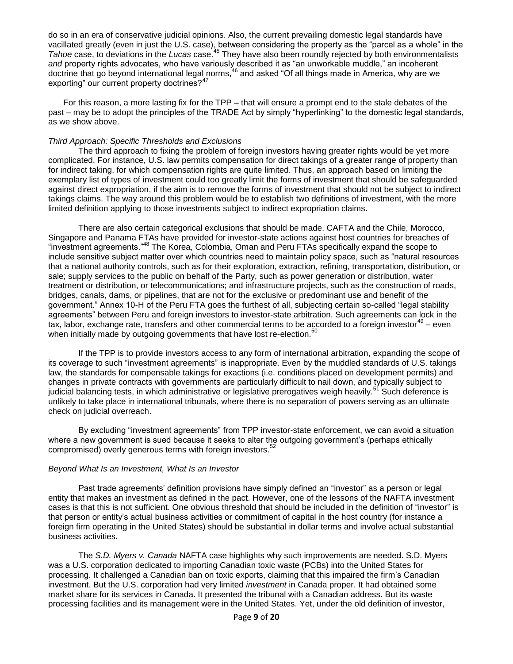do so in an era of conservative judicial opinions. Also, the current prevailing domestic legal standards have vacillated greatly (even in just the U.S. case), between considering the property as the "parcel as a whole" in the *Tahoe* case, to deviations in the *Lucas* case.<sup>45</sup> They have also been roundly rejected by both environmentalists and property rights advocates, who have variously described it as "an unworkable muddle," an incoherent doctrine that go beyond international legal norms,<sup>46</sup> and asked "Of all things made in America, why are we exporting" our current property doctrines?<sup>47</sup>

For this reason, a more lasting fix for the TPP – that will ensure a prompt end to the stale debates of the past – may be to adopt the principles of the TRADE Act by simply "hyperlinking" to the domestic legal standards, as we show above.

#### *Third Approach: Specific Thresholds and Exclusions*

The third approach to fixing the problem of foreign investors having greater rights would be yet more complicated. For instance, U.S. law permits compensation for direct takings of a greater range of property than for indirect taking, for which compensation rights are quite limited. Thus, an approach based on limiting the exemplary list of types of investment could too greatly limit the forms of investment that should be safeguarded against direct expropriation, if the aim is to remove the forms of investment that should not be subject to indirect takings claims. The way around this problem would be to establish two definitions of investment, with the more limited definition applying to those investments subject to indirect expropriation claims.

There are also certain categorical exclusions that should be made. CAFTA and the Chile, Morocco, Singapore and Panama FTAs have provided for investor-state actions against host countries for breaches of "investment agreements."<sup>48</sup> The Korea, Colombia, Oman and Peru FTAs specifically expand the scope to include sensitive subject matter over which countries need to maintain policy space, such as "natural resources that a national authority controls, such as for their exploration, extraction, refining, transportation, distribution, or sale; supply services to the public on behalf of the Party, such as power generation or distribution, water treatment or distribution, or telecommunications; and infrastructure projects, such as the construction of roads, bridges, canals, dams, or pipelines, that are not for the exclusive or predominant use and benefit of the government." Annex 10-H of the Peru FTA goes the furthest of all, subjecting certain so-called "legal stability agreements" between Peru and foreign investors to investor-state arbitration. Such agreements can lock in the tax, labor, exchange rate, transfers and other commercial terms to be accorded to a foreign investor<sup>49</sup> – even when initially made by outgoing governments that have lost re-election.<sup>50</sup>

If the TPP is to provide investors access to any form of international arbitration, expanding the scope of its coverage to such "investment agreements" is inappropriate. Even by the muddled standards of U.S. takings law, the standards for compensable takings for exactions (i.e. conditions placed on development permits) and changes in private contracts with governments are particularly difficult to nail down, and typically subject to judicial balancing tests, in which administrative or legislative prerogatives weigh heavily.<sup>51</sup> Such deference is unlikely to take place in international tribunals, where there is no separation of powers serving as an ultimate check on judicial overreach.

By excluding "investment agreements" from TPP investor-state enforcement, we can avoid a situation where a new government is sued because it seeks to alter the outgoing government's (perhaps ethically compromised) overly generous terms with foreign investors.<sup>52</sup>

#### *Beyond What Is an Investment, What Is an Investor*

Past trade agreements' definition provisions have simply defined an "investor" as a person or legal entity that makes an investment as defined in the pact. However, one of the lessons of the NAFTA investment cases is that this is not sufficient. One obvious threshold that should be included in the definition of "investor" is that person or entity's actual business activities or commitment of capital in the host country (for instance a foreign firm operating in the United States) should be substantial in dollar terms and involve actual substantial business activities.

The *S.D. Myers v. Canada* NAFTA case highlights why such improvements are needed. S.D. Myers was a U.S. corporation dedicated to importing Canadian toxic waste (PCBs) into the United States for processing. It challenged a Canadian ban on toxic exports, claiming that this impaired the firm's Canadian investment. But the U.S. corporation had very limited *investment* in Canada proper. It had obtained some market share for its services in Canada. It presented the tribunal with a Canadian address. But its waste processing facilities and its management were in the United States. Yet, under the old definition of investor,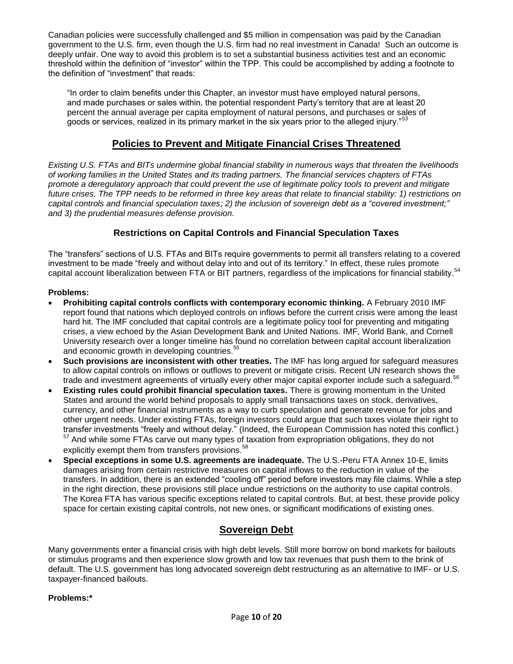Canadian policies were successfully challenged and \$5 million in compensation was paid by the Canadian government to the U.S. firm, even though the U.S. firm had no real investment in Canada! Such an outcome is deeply unfair. One way to avoid this problem is to set a substantial business activities test and an economic threshold within the definition of "investor" within the TPP. This could be accomplished by adding a footnote to the definition of "investment" that reads:

"In order to claim benefits under this Chapter, an investor must have employed natural persons, and made purchases or sales within, the potential respondent Party's territory that are at least 20 percent the annual average per capita employment of natural persons, and purchases or sales of goods or services, realized in its primary market in the six years prior to the alleged injury."<sup>53</sup>

### **Policies to Prevent and Mitigate Financial Crises Threatened**

*Existing U.S. FTAs and BITs undermine global financial stability in numerous ways that threaten the livelihoods of working families in the United States and its trading partners. The financial services chapters of FTAs promote a deregulatory approach that could prevent the use of legitimate policy tools to prevent and mitigate future crises. The TPP needs to be reformed in three key areas that relate to financial stability: 1) restrictions on capital controls and financial speculation taxes; 2) the inclusion of sovereign debt as a "covered investment;" and 3) the prudential measures defense provision.* 

### **Restrictions on Capital Controls and Financial Speculation Taxes**

The "transfers" sections of U.S. FTAs and BITs require governments to permit all transfers relating to a covered investment to be made "freely and without delay into and out of its territory." In effect, these rules promote capital account liberalization between FTA or BIT partners, regardless of the implications for financial stability.<sup>54</sup>

#### **Problems:**

- **Prohibiting capital controls conflicts with contemporary economic thinking.** A February 2010 IMF report found that nations which deployed controls on inflows before the current crisis were among the least hard hit. The IMF concluded that capital controls are a legitimate policy tool for preventing and mitigating crises, a view echoed by the Asian Development Bank and United Nations. IMF, World Bank, and Cornell University research over a longer timeline has found no correlation between capital account liberalization and economic growth in developing countries.<sup>55</sup>
- **Such provisions are inconsistent with other treaties.** The IMF has long argued for safeguard measures to allow capital controls on inflows or outflows to prevent or mitigate crisis. Recent UN research shows the trade and investment agreements of virtually every other major capital exporter include such a safeguard.<sup>56</sup>
- **Existing rules could prohibit financial speculation taxes.** There is growing momentum in the United States and around the world behind proposals to apply small transactions taxes on stock, derivatives, currency, and other financial instruments as a way to curb speculation and generate revenue for jobs and other urgent needs. Under existing FTAs, foreign investors could argue that such taxes violate their right to transfer investments "freely and without delay." (Indeed, the European Commission has noted this conflict.) <sup>57</sup> And while some FTAs carve out many types of taxation from expropriation obligations, they do not explicitly exempt them from transfers provisions.<sup>58</sup>
- **Special exceptions in some U.S. agreements are inadequate.** The U.S.-Peru FTA Annex 10-E, limits damages arising from certain restrictive measures on capital inflows to the reduction in value of the transfers. In addition, there is an extended "cooling off" period before investors may file claims. While a step in the right direction, these provisions still place undue restrictions on the authority to use capital controls. The Korea FTA has various specific exceptions related to capital controls. But, at best, these provide policy space for certain existing capital controls, not new ones, or significant modifications of existing ones.

### **Sovereign Debt**

Many governments enter a financial crisis with high debt levels. Still more borrow on bond markets for bailouts or stimulus programs and then experience slow growth and low tax revenues that push them to the brink of default. The U.S. government has long advocated sovereign debt restructuring as an alternative to IMF- or U.S. taxpayer-financed bailouts.

#### **Problems:\***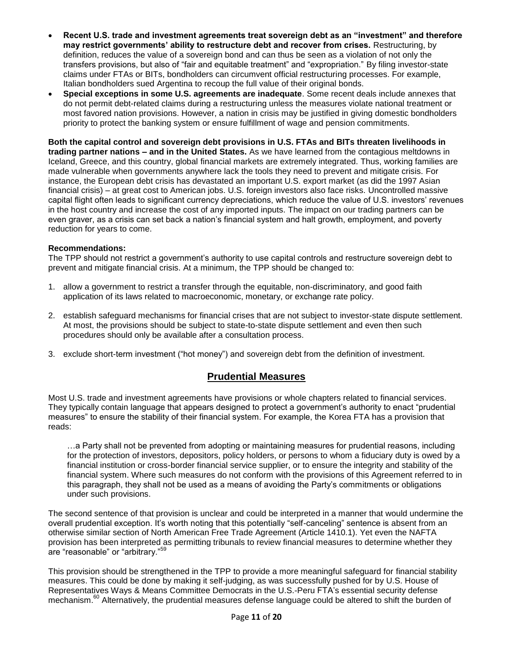- **Recent U.S. trade and investment agreements treat sovereign debt as an "investment" and therefore may restrict governments' ability to restructure debt and recover from crises.** Restructuring, by definition, reduces the value of a sovereign bond and can thus be seen as a violation of not only the transfers provisions, but also of "fair and equitable treatment" and "expropriation." By filing investor-state claims under FTAs or BITs, bondholders can circumvent official restructuring processes. For example, Italian bondholders sued Argentina to recoup the full value of their original bonds.
- **Special exceptions in some U.S. agreements are inadequate**. Some recent deals include annexes that do not permit debt-related claims during a restructuring unless the measures violate national treatment or most favored nation provisions. However, a nation in crisis may be justified in giving domestic bondholders priority to protect the banking system or ensure fulfillment of wage and pension commitments.

**Both the capital control and sovereign debt provisions in U.S. FTAs and BITs threaten livelihoods in trading partner nations – and in the United States.** As we have learned from the contagious meltdowns in Iceland, Greece, and this country, global financial markets are extremely integrated. Thus, working families are made vulnerable when governments anywhere lack the tools they need to prevent and mitigate crisis. For instance, the European debt crisis has devastated an important U.S. export market (as did the 1997 Asian financial crisis) – at great cost to American jobs. U.S. foreign investors also face risks. Uncontrolled massive capital flight often leads to significant currency depreciations, which reduce the value of U.S. investors' revenues in the host country and increase the cost of any imported inputs. The impact on our trading partners can be even graver, as a crisis can set back a nation's financial system and halt growth, employment, and poverty reduction for years to come.

#### **Recommendations:**

The TPP should not restrict a government's authority to use capital controls and restructure sovereign debt to prevent and mitigate financial crisis. At a minimum, the TPP should be changed to:

- 1. allow a government to restrict a transfer through the equitable, non-discriminatory, and good faith application of its laws related to macroeconomic, monetary, or exchange rate policy.
- 2. establish safeguard mechanisms for financial crises that are not subject to investor-state dispute settlement. At most, the provisions should be subject to state-to-state dispute settlement and even then such procedures should only be available after a consultation process.
- 3. exclude short-term investment ("hot money") and sovereign debt from the definition of investment.

### **Prudential Measures**

Most U.S. trade and investment agreements have provisions or whole chapters related to financial services. They typically contain language that appears designed to protect a government's authority to enact "prudential measures" to ensure the stability of their financial system. For example, the Korea FTA has a provision that reads:

…a Party shall not be prevented from adopting or maintaining measures for prudential reasons, including for the protection of investors, depositors, policy holders, or persons to whom a fiduciary duty is owed by a financial institution or cross-border financial service supplier, or to ensure the integrity and stability of the financial system. Where such measures do not conform with the provisions of this Agreement referred to in this paragraph, they shall not be used as a means of avoiding the Party's commitments or obligations under such provisions.

The second sentence of that provision is unclear and could be interpreted in a manner that would undermine the overall prudential exception. It's worth noting that this potentially "self-canceling" sentence is absent from an otherwise similar section of North American Free Trade Agreement (Article 1410.1). Yet even the NAFTA provision has been interpreted as permitting tribunals to review financial measures to determine whether they are "reasonable" or "arbitrary."<sup>59</sup>

This provision should be strengthened in the TPP to provide a more meaningful safeguard for financial stability measures. This could be done by making it self-judging, as was successfully pushed for by U.S. House of Representatives Ways & Means Committee Democrats in the U.S.-Peru FTA's essential security defense mechanism.<sup>60</sup> Alternatively, the prudential measures defense language could be altered to shift the burden of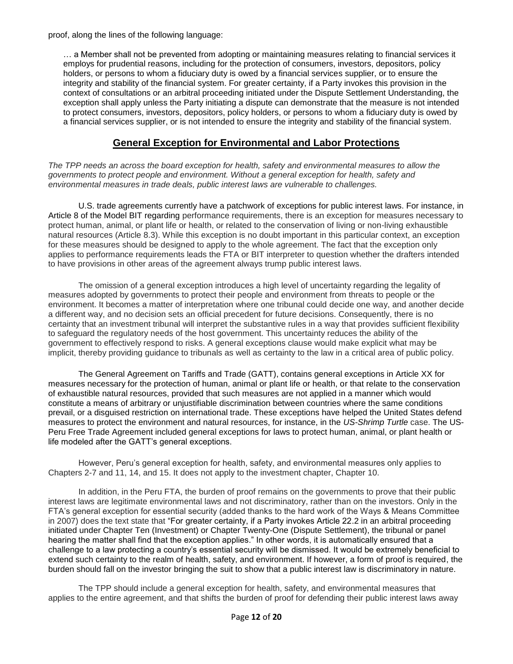proof, along the lines of the following language:

… a Member shall not be prevented from adopting or maintaining measures relating to financial services it employs for prudential reasons, including for the protection of consumers, investors, depositors, policy holders, or persons to whom a fiduciary duty is owed by a financial services supplier, or to ensure the integrity and stability of the financial system. For greater certainty, if a Party invokes this provision in the context of consultations or an arbitral proceeding initiated under the Dispute Settlement Understanding, the exception shall apply unless the Party initiating a dispute can demonstrate that the measure is not intended to protect consumers, investors, depositors, policy holders, or persons to whom a fiduciary duty is owed by a financial services supplier, or is not intended to ensure the integrity and stability of the financial system.

### **General Exception for Environmental and Labor Protections**

*The TPP needs an across the board exception for health, safety and environmental measures to allow the governments to protect people and environment. Without a general exception for health, safety and environmental measures in trade deals, public interest laws are vulnerable to challenges.*

U.S. trade agreements currently have a patchwork of exceptions for public interest laws. For instance, in Article 8 of the Model BIT regarding performance requirements, there is an exception for measures necessary to protect human, animal, or plant life or health, or related to the conservation of living or non-living exhaustible natural resources (Article 8.3). While this exception is no doubt important in this particular context, an exception for these measures should be designed to apply to the whole agreement. The fact that the exception only applies to performance requirements leads the FTA or BIT interpreter to question whether the drafters intended to have provisions in other areas of the agreement always trump public interest laws.

The omission of a general exception introduces a high level of uncertainty regarding the legality of measures adopted by governments to protect their people and environment from threats to people or the environment. It becomes a matter of interpretation where one tribunal could decide one way, and another decide a different way, and no decision sets an official precedent for future decisions. Consequently, there is no certainty that an investment tribunal will interpret the substantive rules in a way that provides sufficient flexibility to safeguard the regulatory needs of the host government. This uncertainty reduces the ability of the government to effectively respond to risks. A general exceptions clause would make explicit what may be implicit, thereby providing guidance to tribunals as well as certainty to the law in a critical area of public policy.

The General Agreement on Tariffs and Trade (GATT), contains general exceptions in Article XX for measures necessary for the protection of human, animal or plant life or health, or that relate to the conservation of exhaustible natural resources, provided that such measures are not applied in a manner which would constitute a means of arbitrary or unjustifiable discrimination between countries where the same conditions prevail, or a disguised restriction on international trade. These exceptions have helped the United States defend measures to protect the environment and natural resources, for instance, in the *US-Shrimp Turtle* case. The US-Peru Free Trade Agreement included general exceptions for laws to protect human, animal, or plant health or life modeled after the GATT's general exceptions.

However, Peru's general exception for health, safety, and environmental measures only applies to Chapters 2-7 and 11, 14, and 15. It does not apply to the investment chapter, Chapter 10.

In addition, in the Peru FTA, the burden of proof remains on the governments to prove that their public interest laws are legitimate environmental laws and not discriminatory, rather than on the investors. Only in the FTA's general exception for essential security (added thanks to the hard work of the Ways & Means Committee in 2007) does the text state that "For greater certainty, if a Party invokes Article 22.2 in an arbitral proceeding initiated under Chapter Ten (Investment) or Chapter Twenty-One (Dispute Settlement), the tribunal or panel hearing the matter shall find that the exception applies." In other words, it is automatically ensured that a challenge to a law protecting a country's essential security will be dismissed. It would be extremely beneficial to extend such certainty to the realm of health, safety, and environment. If however, a form of proof is required, the burden should fall on the investor bringing the suit to show that a public interest law is discriminatory in nature.

The TPP should include a general exception for health, safety, and environmental measures that applies to the entire agreement, and that shifts the burden of proof for defending their public interest laws away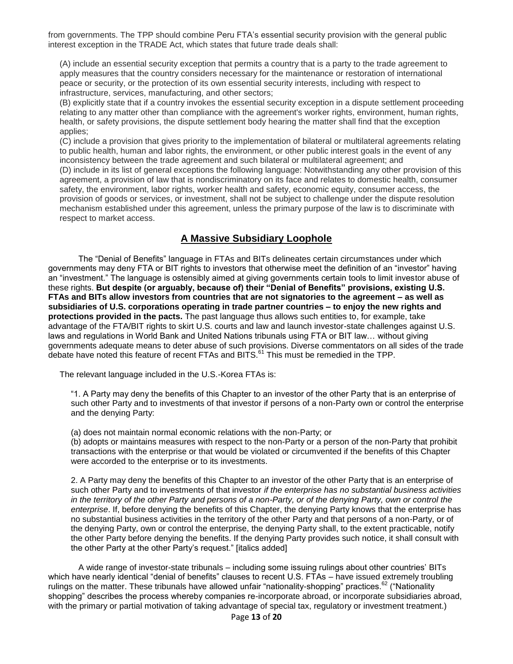from governments. The TPP should combine Peru FTA's essential security provision with the general public interest exception in the TRADE Act, which states that future trade deals shall:

(A) include an essential security exception that permits a country that is a party to the trade agreement to apply measures that the country considers necessary for the maintenance or restoration of international peace or security, or the protection of its own essential security interests, including with respect to infrastructure, services, manufacturing, and other sectors;

(B) explicitly state that if a country invokes the essential security exception in a dispute settlement proceeding relating to any matter other than compliance with the agreement's worker rights, environment, human rights, health, or safety provisions, the dispute settlement body hearing the matter shall find that the exception applies;

(C) include a provision that gives priority to the implementation of bilateral or multilateral agreements relating to public health, human and labor rights, the environment, or other public interest goals in the event of any inconsistency between the trade agreement and such bilateral or multilateral agreement; and (D) include in its list of general exceptions the following language: Notwithstanding any other provision of this agreement, a provision of law that is nondiscriminatory on its face and relates to domestic health, consumer safety, the environment, labor rights, worker health and safety, economic equity, consumer access, the provision of goods or services, or investment, shall not be subject to challenge under the dispute resolution mechanism established under this agreement, unless the primary purpose of the law is to discriminate with respect to market access.

## **A Massive Subsidiary Loophole**

The "Denial of Benefits" language in FTAs and BITs delineates certain circumstances under which governments may deny FTA or BIT rights to investors that otherwise meet the definition of an "investor" having an "investment." The language is ostensibly aimed at giving governments certain tools to limit investor abuse of these rights. **But despite (or arguably, because of) their "Denial of Benefits" provisions, existing U.S. FTAs and BITs allow investors from countries that are not signatories to the agreement – as well as subsidiaries of U.S. corporations operating in trade partner countries – to enjoy the new rights and protections provided in the pacts.** The past language thus allows such entities to, for example, take advantage of the FTA/BIT rights to skirt U.S. courts and law and launch investor-state challenges against U.S. laws and regulations in World Bank and United Nations tribunals using FTA or BIT law… without giving governments adequate means to deter abuse of such provisions. Diverse commentators on all sides of the trade debate have noted this feature of recent FTAs and BITS.<sup>61</sup> This must be remedied in the TPP.

The relevant language included in the U.S.-Korea FTAs is:

"1. A Party may deny the benefits of this Chapter to an investor of the other Party that is an enterprise of such other Party and to investments of that investor if persons of a non-Party own or control the enterprise and the denying Party:

(a) does not maintain normal economic relations with the non-Party; or

(b) adopts or maintains measures with respect to the non-Party or a person of the non-Party that prohibit transactions with the enterprise or that would be violated or circumvented if the benefits of this Chapter were accorded to the enterprise or to its investments.

2. A Party may deny the benefits of this Chapter to an investor of the other Party that is an enterprise of such other Party and to investments of that investor *if the enterprise has no substantial business activities in the territory of the other Party and persons of a non-Party, or of the denying Party, own or control the enterprise*. If, before denying the benefits of this Chapter, the denying Party knows that the enterprise has no substantial business activities in the territory of the other Party and that persons of a non-Party, or of the denying Party, own or control the enterprise, the denying Party shall, to the extent practicable, notify the other Party before denying the benefits. If the denying Party provides such notice, it shall consult with the other Party at the other Party's request." [italics added]

A wide range of investor-state tribunals – including some issuing rulings about other countries' BITs which have nearly identical "denial of benefits" clauses to recent U.S. FTAs – have issued extremely troubling rulings on the matter. These tribunals have allowed unfair "nationality-shopping" practices.<sup>62</sup> ("Nationality shopping" describes the process whereby companies re-incorporate abroad, or incorporate subsidiaries abroad, with the primary or partial motivation of taking advantage of special tax, regulatory or investment treatment.)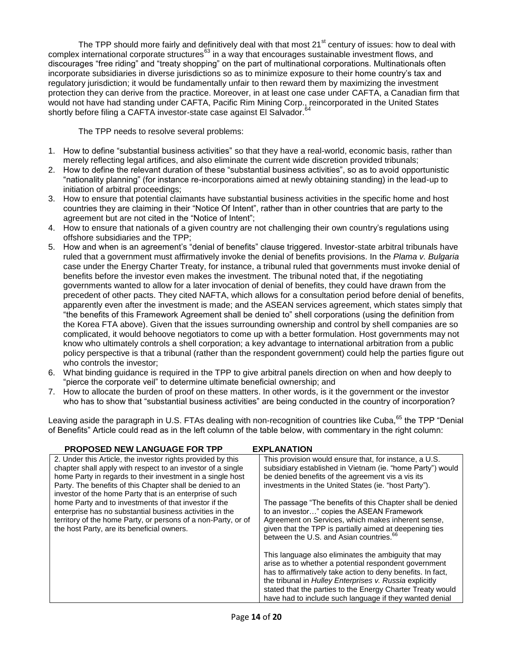The TPP should more fairly and definitively deal with that most 21<sup>st</sup> century of issues: how to deal with complex international corporate structures<sup>63</sup> in a way that encourages sustainable investment flows, and discourages "free riding" and "treaty shopping" on the part of multinational corporations. Multinationals often incorporate subsidiaries in diverse jurisdictions so as to minimize exposure to their home country's tax and regulatory jurisdiction; it would be fundamentally unfair to then reward them by maximizing the investment protection they can derive from the practice. Moreover, in at least one case under CAFTA, a Canadian firm that would not have had standing under CAFTA, Pacific Rim Mining Corp., reincorporated in the United States shortly before filing a CAFTA investor-state case against El Salvador.

The TPP needs to resolve several problems:

- 1. How to define "substantial business activities" so that they have a real-world, economic basis, rather than merely reflecting legal artifices, and also eliminate the current wide discretion provided tribunals;
- 2. How to define the relevant duration of these "substantial business activities", so as to avoid opportunistic "nationality planning" (for instance re-incorporations aimed at newly obtaining standing) in the lead-up to initiation of arbitral proceedings;
- 3. How to ensure that potential claimants have substantial business activities in the specific home and host countries they are claiming in their "Notice Of Intent", rather than in other countries that are party to the agreement but are not cited in the "Notice of Intent";
- 4. How to ensure that nationals of a given country are not challenging their own country's regulations using offshore subsidiaries and the TPP;
- 5. How and when is an agreement's "denial of benefits" clause triggered. Investor-state arbitral tribunals have ruled that a government must affirmatively invoke the denial of benefits provisions. In the *Plama v. Bulgaria*  case under the Energy Charter Treaty, for instance, a tribunal ruled that governments must invoke denial of benefits before the investor even makes the investment. The tribunal noted that, if the negotiating governments wanted to allow for a later invocation of denial of benefits, they could have drawn from the precedent of other pacts. They cited NAFTA, which allows for a consultation period before denial of benefits, apparently even after the investment is made; and the ASEAN services agreement, which states simply that "the benefits of this Framework Agreement shall be denied to" shell corporations (using the definition from the Korea FTA above). Given that the issues surrounding ownership and control by shell companies are so complicated, it would behoove negotiators to come up with a better formulation. Host governments may not know who ultimately controls a shell corporation; a key advantage to international arbitration from a public policy perspective is that a tribunal (rather than the respondent government) could help the parties figure out who controls the investor;
- 6. What binding guidance is required in the TPP to give arbitral panels direction on when and how deeply to "pierce the corporate veil" to determine ultimate beneficial ownership; and
- 7. How to allocate the burden of proof on these matters. In other words, is it the government or the investor who has to show that "substantial business activities" are being conducted in the country of incorporation?

Leaving aside the paragraph in U.S. FTAs dealing with non-recognition of countries like Cuba,<sup>65</sup> the TPP "Denial of Benefits" Article could read as in the left column of the table below, with commentary in the right column:

| <b>PROPOSED NEW LANGUAGE FOR TPP</b>                                                                                                                                                                                                                                                                              | <b>EXPLANATION</b>                                                                                                                                                                                                                                                                                                                                               |
|-------------------------------------------------------------------------------------------------------------------------------------------------------------------------------------------------------------------------------------------------------------------------------------------------------------------|------------------------------------------------------------------------------------------------------------------------------------------------------------------------------------------------------------------------------------------------------------------------------------------------------------------------------------------------------------------|
| 2. Under this Article, the investor rights provided by this<br>chapter shall apply with respect to an investor of a single<br>home Party in regards to their investment in a single host<br>Party. The benefits of this Chapter shall be denied to an<br>investor of the home Party that is an enterprise of such | This provision would ensure that, for instance, a U.S.<br>subsidiary established in Vietnam (ie. "home Party") would<br>be denied benefits of the agreement vis a vis its<br>investments in the United States (ie. "host Party").                                                                                                                                |
| home Party and to investments of that investor if the<br>enterprise has no substantial business activities in the<br>territory of the home Party, or persons of a non-Party, or of<br>the host Party, are its beneficial owners.                                                                                  | The passage "The benefits of this Chapter shall be denied<br>to an investor" copies the ASEAN Framework<br>Agreement on Services, which makes inherent sense,<br>given that the TPP is partially aimed at deepening ties<br>between the U.S. and Asian countries. <sup>66</sup>                                                                                  |
|                                                                                                                                                                                                                                                                                                                   | This language also eliminates the ambiguity that may<br>arise as to whether a potential respondent government<br>has to affirmatively take action to deny benefits. In fact,<br>the tribunal in Hulley Enterprises v. Russia explicitly<br>stated that the parties to the Energy Charter Treaty would<br>have had to include such language if they wanted denial |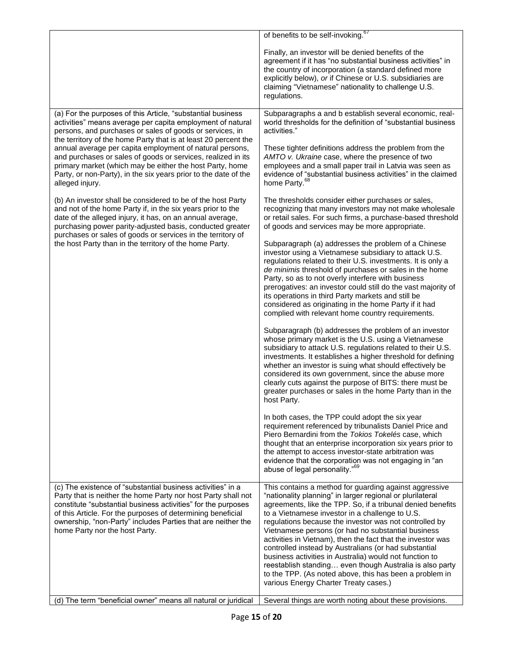|                                                                                                                                                                                                                                                                                                                                                                                                                                                                                                                                        | of benefits to be self-invoking. <sup>67</sup>                                                                                                                                                                                                                                                                                                                                                                                                                                                                                                                                                                                                                                                           |
|----------------------------------------------------------------------------------------------------------------------------------------------------------------------------------------------------------------------------------------------------------------------------------------------------------------------------------------------------------------------------------------------------------------------------------------------------------------------------------------------------------------------------------------|----------------------------------------------------------------------------------------------------------------------------------------------------------------------------------------------------------------------------------------------------------------------------------------------------------------------------------------------------------------------------------------------------------------------------------------------------------------------------------------------------------------------------------------------------------------------------------------------------------------------------------------------------------------------------------------------------------|
|                                                                                                                                                                                                                                                                                                                                                                                                                                                                                                                                        | Finally, an investor will be denied benefits of the<br>agreement if it has "no substantial business activities" in<br>the country of incorporation (a standard defined more<br>explicitly below), or if Chinese or U.S. subsidiaries are<br>claiming "Vietnamese" nationality to challenge U.S.<br>regulations.                                                                                                                                                                                                                                                                                                                                                                                          |
| (a) For the purposes of this Article, "substantial business<br>activities" means average per capita employment of natural<br>persons, and purchases or sales of goods or services, in<br>the territory of the home Party that is at least 20 percent the<br>annual average per capita employment of natural persons,<br>and purchases or sales of goods or services, realized in its<br>primary market (which may be either the host Party, home<br>Party, or non-Party), in the six years prior to the date of the<br>alleged injury. | Subparagraphs a and b establish several economic, real-<br>world thresholds for the definition of "substantial business"<br>activities."                                                                                                                                                                                                                                                                                                                                                                                                                                                                                                                                                                 |
|                                                                                                                                                                                                                                                                                                                                                                                                                                                                                                                                        | These tighter definitions address the problem from the<br>AMTO v. Ukraine case, where the presence of two<br>employees and a small paper trail in Latvia was seen as<br>evidence of "substantial business activities" in the claimed<br>home Party. <sup>68</sup>                                                                                                                                                                                                                                                                                                                                                                                                                                        |
| (b) An investor shall be considered to be of the host Party<br>and not of the home Party if, in the six years prior to the<br>date of the alleged injury, it has, on an annual average,<br>purchasing power parity-adjusted basis, conducted greater<br>purchases or sales of goods or services in the territory of<br>the host Party than in the territory of the home Party.                                                                                                                                                         | The thresholds consider either purchases or sales,<br>recognizing that many investors may not make wholesale<br>or retail sales. For such firms, a purchase-based threshold<br>of goods and services may be more appropriate.                                                                                                                                                                                                                                                                                                                                                                                                                                                                            |
|                                                                                                                                                                                                                                                                                                                                                                                                                                                                                                                                        | Subparagraph (a) addresses the problem of a Chinese<br>investor using a Vietnamese subsidiary to attack U.S.<br>regulations related to their U.S. investments. It is only a<br>de minimis threshold of purchases or sales in the home<br>Party, so as to not overly interfere with business<br>prerogatives: an investor could still do the vast majority of<br>its operations in third Party markets and still be<br>considered as originating in the home Party if it had<br>complied with relevant home country requirements.                                                                                                                                                                         |
|                                                                                                                                                                                                                                                                                                                                                                                                                                                                                                                                        | Subparagraph (b) addresses the problem of an investor<br>whose primary market is the U.S. using a Vietnamese<br>subsidiary to attack U.S. regulations related to their U.S.<br>investments. It establishes a higher threshold for defining<br>whether an investor is suing what should effectively be<br>considered its own government, since the abuse more<br>clearly cuts against the purpose of BITS: there must be<br>greater purchases or sales in the home Party than in the<br>host Party.                                                                                                                                                                                                       |
|                                                                                                                                                                                                                                                                                                                                                                                                                                                                                                                                        | In both cases, the TPP could adopt the six year<br>requirement referenced by tribunalists Daniel Price and<br>Piero Bernardini from the Tokios Tokelés case, which<br>thought that an enterprise incorporation six years prior to<br>the attempt to access investor-state arbitration was<br>evidence that the corporation was not engaging in "an<br>abuse of legal personality." <sup>69</sup>                                                                                                                                                                                                                                                                                                         |
| (c) The existence of "substantial business activities" in a<br>Party that is neither the home Party nor host Party shall not<br>constitute "substantial business activities" for the purposes<br>of this Article. For the purposes of determining beneficial<br>ownership, "non-Party" includes Parties that are neither the<br>home Party nor the host Party.                                                                                                                                                                         | This contains a method for guarding against aggressive<br>"nationality planning" in larger regional or plurilateral<br>agreements, like the TPP. So, if a tribunal denied benefits<br>to a Vietnamese investor in a challenge to U.S.<br>regulations because the investor was not controlled by<br>Vietnamese persons (or had no substantial business<br>activities in Vietnam), then the fact that the investor was<br>controlled instead by Australians (or had substantial<br>business activities in Australia) would not function to<br>reestablish standing even though Australia is also party<br>to the TPP. (As noted above, this has been a problem in<br>various Energy Charter Treaty cases.) |
| (d) The term "beneficial owner" means all natural or juridical                                                                                                                                                                                                                                                                                                                                                                                                                                                                         | Several things are worth noting about these provisions.                                                                                                                                                                                                                                                                                                                                                                                                                                                                                                                                                                                                                                                  |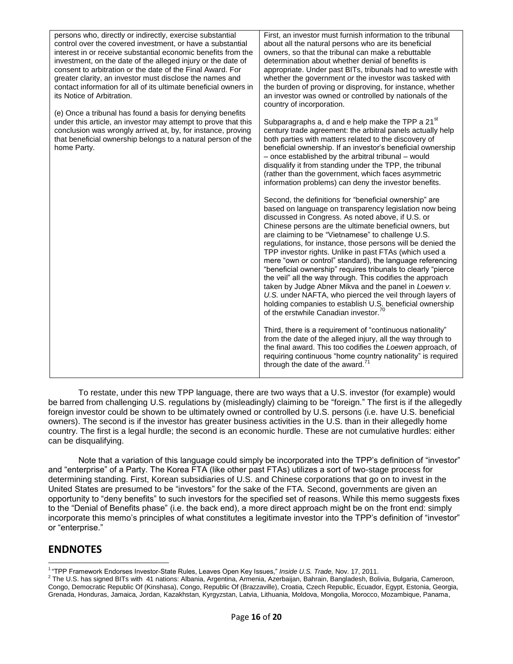| persons who, directly or indirectly, exercise substantial<br>control over the covered investment, or have a substantial<br>interest in or receive substantial economic benefits from the<br>investment, on the date of the alleged injury or the date of<br>consent to arbitration or the date of the Final Award. For<br>greater clarity, an investor must disclose the names and<br>contact information for all of its ultimate beneficial owners in<br>its Notice of Arbitration. | First, an investor must furnish information to the tribunal<br>about all the natural persons who are its beneficial<br>owners, so that the tribunal can make a rebuttable<br>determination about whether denial of benefits is<br>appropriate. Under past BITs, tribunals had to wrestle with<br>whether the government or the investor was tasked with<br>the burden of proving or disproving, for instance, whether<br>an investor was owned or controlled by nationals of the<br>country of incorporation.                                                                                                                                                                                                                                                                                                                                   |
|--------------------------------------------------------------------------------------------------------------------------------------------------------------------------------------------------------------------------------------------------------------------------------------------------------------------------------------------------------------------------------------------------------------------------------------------------------------------------------------|-------------------------------------------------------------------------------------------------------------------------------------------------------------------------------------------------------------------------------------------------------------------------------------------------------------------------------------------------------------------------------------------------------------------------------------------------------------------------------------------------------------------------------------------------------------------------------------------------------------------------------------------------------------------------------------------------------------------------------------------------------------------------------------------------------------------------------------------------|
| (e) Once a tribunal has found a basis for denying benefits<br>under this article, an investor may attempt to prove that this<br>conclusion was wrongly arrived at, by, for instance, proving<br>that beneficial ownership belongs to a natural person of the<br>home Party.                                                                                                                                                                                                          | Subparagraphs a, d and e help make the TPP a 21 <sup>st</sup><br>century trade agreement: the arbitral panels actually help<br>both parties with matters related to the discovery of<br>beneficial ownership. If an investor's beneficial ownership<br>- once established by the arbitral tribunal - would<br>disqualify it from standing under the TPP, the tribunal<br>(rather than the government, which faces asymmetric<br>information problems) can deny the investor benefits.                                                                                                                                                                                                                                                                                                                                                           |
|                                                                                                                                                                                                                                                                                                                                                                                                                                                                                      | Second, the definitions for "beneficial ownership" are<br>based on language on transparency legislation now being<br>discussed in Congress. As noted above, if U.S. or<br>Chinese persons are the ultimate beneficial owners, but<br>are claiming to be "Vietnamese" to challenge U.S.<br>regulations, for instance, those persons will be denied the<br>TPP investor rights. Unlike in past FTAs (which used a<br>mere "own or control" standard), the language referencing<br>"beneficial ownership" requires tribunals to clearly "pierce<br>the veil" all the way through. This codifies the approach<br>taken by Judge Abner Mikva and the panel in Loewen v.<br>U.S. under NAFTA, who pierced the veil through layers of<br>holding companies to establish U.S. beneficial ownership<br>of the erstwhile Canadian investor. <sup>70</sup> |
|                                                                                                                                                                                                                                                                                                                                                                                                                                                                                      | Third, there is a requirement of "continuous nationality"<br>from the date of the alleged injury, all the way through to<br>the final award. This too codifies the Loewen approach, of<br>requiring continuous "home country nationality" is required<br>through the date of the award."                                                                                                                                                                                                                                                                                                                                                                                                                                                                                                                                                        |

To restate, under this new TPP language, there are two ways that a U.S. investor (for example) would be barred from challenging U.S. regulations by (misleadingly) claiming to be "foreign." The first is if the allegedly foreign investor could be shown to be ultimately owned or controlled by U.S. persons (i.e. have U.S. beneficial owners). The second is if the investor has greater business activities in the U.S. than in their allegedly home country. The first is a legal hurdle; the second is an economic hurdle. These are not cumulative hurdles: either can be disqualifying.

Note that a variation of this language could simply be incorporated into the TPP's definition of "investor" and "enterprise" of a Party. The Korea FTA (like other past FTAs) utilizes a sort of two-stage process for determining standing. First, Korean subsidiaries of U.S. and Chinese corporations that go on to invest in the United States are presumed to be "investors" for the sake of the FTA. Second, governments are given an opportunity to "deny benefits" to such investors for the specified set of reasons. While this memo suggests fixes to the "Denial of Benefits phase" (i.e. the back end), a more direct approach might be on the front end: simply incorporate this memo's principles of what constitutes a legitimate investor into the TPP's definition of "investor" or "enterprise."

# **ENDNOTES**

 1 "TPP Framework Endorses Investor-State Rules, Leaves Open Key Issues," *Inside U.S. Trade,* Nov. 17, 2011.

 $^2$  The U.S. has signed BITs with 41 nations: Albania, Argentina, Armenia, Azerbaijan, Bahrain, Bangladesh, Bolivia, Bulgaria, Cameroon, Congo, Democratic Republic Of (Kinshasa), Congo, Republic Of (Brazzaville), Croatia, Czech Republic, Ecuador, Egypt, Estonia, Georgia, Grenada, Honduras, Jamaica, Jordan, Kazakhstan, Kyrgyzstan, Latvia, Lithuania, Moldova, Mongolia, Morocco, Mozambique, Panama,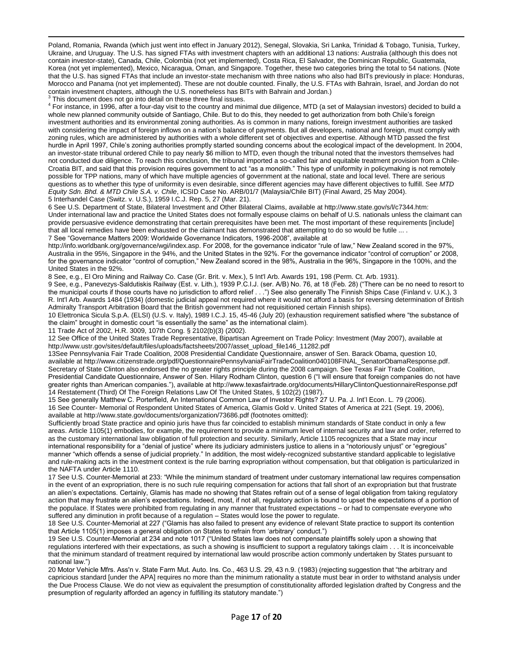$\overline{a}$ Poland, Romania, Rwanda (which just went into effect in January 2012), Senegal, Slovakia, Sri Lanka, Trinidad & Tobago, Tunisia, Turkey, Ukraine, and Uruguay. The U.S. has signed FTAs with investment chapters with an additional 13 nations: Australia (although this does not contain investor-state), Canada, Chile, Colombia (not yet implemented), Costa Rica, El Salvador, the Dominican Republic, Guatemala, Korea (not yet implemented), Mexico, Nicaragua, Oman, and Singapore. Together, these two categories bring the total to 54 nations. (Note that the U.S. has signed FTAs that include an investor-state mechanism with three nations who also had BITs previously in place: Honduras, Morocco and Panama (not yet implemented). These are not double counted. Finally, the U.S. FTAs with Bahrain, Israel, and Jordan do not contain investment chapters, although the U.S. nonetheless has BITs with Bahrain and Jordan.)

3 This document does not go into detail on these three final issues.

<sup>4</sup> For instance, in 1996, after a four-day visit to the country and minimal due diligence, MTD (a set of Malaysian investors) decided to build a whole new planned community outside of Santiago, Chile. But to do this, they needed to get authorization from both Chile's foreign investment authorities and its environmental zoning authorities. As is common in many nations, foreign investment authorities are tasked with considering the impact of foreign inflows on a nation's balance of payments. But all developers, national and foreign, must comply with zoning rules, which are administered by authorities with a whole different set of objectives and expertise. Although MTD passed the first hurdle in April 1997, Chile's zoning authorities promptly started sounding concerns about the ecological impact of the development. In 2004, an investor-state tribunal ordered Chile to pay nearly \$6 million to MTD, even though the tribunal noted that the investors themselves had not conducted due diligence. To reach this conclusion, the tribunal imported a so-called fair and equitable treatment provision from a Chile-Croatia BIT, and said that this provision requires government to act "as a monolith." This type of uniformity in policymaking is not remotely possible for TPP nations, many of which have multiple agencies of government at the national, state and local level. There are serious questions as to whether this type of uniformity is even desirable, since different agencies may have different objectives to fulfill. See *MTD Equity Sdn. Bhd. & MTD Chile S.A. v. Chile*, ICSID Case No. ARB/01/7 (Malaysia/Chile BIT) (Final Award, 25 May 2004). 5 Interhandel Case (Switz. v. U.S.), 1959 I.C.J. Rep. 5, 27 (Mar. 21).

6 See U.S. Department of State, Bilateral Investment and Other Bilateral Claims, available at http://www.state.gov/s/l/c7344.htm: Under international law and practice the United States does not formally espouse claims on behalf of U.S. nationals unless the claimant can provide persuasive evidence demonstrating that certain prerequisites have been met. The most important of these requirements [include] that all local remedies have been exhausted or the claimant has demonstrated that attempting to do so would be futile ... . 7 See "Governance Matters 2009: Worldwide Governance Indicators, 1996-2008", available at

[http://info.worldbank.org/governance/wgi/index.asp.](http://info.worldbank.org/governance/wgi/index.asp) For 2008, for the governance indicator "rule of law," New Zealand scored in the 97%, Australia in the 95%, Singapore in the 94%, and the United States in the 92%. For the governance indicator "control of corruption" or 2008, for the governance indicator "control of corruption," New Zealand scored in the 98%, Australia in the 96%, Singapore in the 100%, and the United States in the 92%.

8 See, e.g., El Oro Mining and Railway Co. Case (Gr. Brit. v. Mex.), 5 Int'l Arb. Awards 191, 198 (Perm. Ct. Arb. 1931).

9 See, e.g., Panevezys-Saldutiskis Railway (Est. v. Lith.), 1939 P.C.I.J. (ser. A/B) No. 76, at 18 (Feb. 28) ("There can be no need to resort to the municipal courts if those courts have no jurisdiction to afford relief . . .") See also generally The Finnish Ships Case (Finland v. U.K.), 3 R. Int'l Arb. Awards 1484 (1934) (domestic judicial appeal not required where it would not afford a basis for reversing determination of British Admiralty Transport Arbitration Board that the British government had not requisitioned certain Finnish ships).

10 Elettronica Sicula S.p.A. (ELSI) (U.S. v. Italy), 1989 I.C.J. 15, 45-46 (July 20) (exhaustion requirement satisfied where "the substance of the claim" brought in domestic court "is essentially the same" as the international claim).

11 Trade Act of 2002, H.R. 3009, 107th Cong. § 2102(b)(3) (2002).

12 See Office of the United States Trade Representative, Bipartisan Agreement on Trade Policy: Investment (May 2007), available at http://www.ustr.gov/sites/default/files/uploads/factsheets/2007/asset\_upload\_file146\_11282.pdf

13See Pennsylvania Fair Trade Coalition, 2008 Presidential Candidate Questionnaire, answer of Sen. Barack Obama, question 10, available at http://www.citizenstrade.org/pdf/QuestionnairePennsylvaniaFairTradeCoalition040108FINAL\_SenatorObamaResponse.pdf. Secretary of State Clinton also endorsed the no greater rights principle during the 2008 campaign. See Texas Fair Trade Coalition, Presidential Candidate Questionnaire, Answer of Sen. Hilary Rodham Clinton, question 6 ("I will ensure that foreign companies do not have greater rights than American companies."), available at http://www.texasfairtrade.org/documents/HillaryClintonQuestionnaireResponse.pdf 14 Restatement (Third) Of The Foreign Relations Law Of The United States, § 102(2) (1987).

15 See generally Matthew C. Porterfield, An International Common Law of Investor Rights? 27 U. Pa. J. Int'l Econ. L. 79 (2006). 16 See Counter- Memorial of Respondent United States of America, Glamis Gold v. United States of America at 221 (Sept. 19, 2006), available at http://www.state.gov/documents/organization/73686.pdf (footnotes omitted):

Sufficiently broad State practice and opinio juris have thus far coincided to establish minimum standards of State conduct in only a few areas. Article 1105(1) embodies, for example, the requirement to provide a minimum level of internal security and law and order, referred to as the customary international law obligation of full protection and security. Similarly, Article 1105 recognizes that a State may incur international responsibility for a "denial of justice" where its judiciary administers justice to aliens in a "notoriously unjust" or "egregious" manner "which offends a sense of judicial propriety." In addition, the most widely-recognized substantive standard applicable to legislative and rule-making acts in the investment context is the rule barring expropriation without compensation, but that obligation is particularized in the NAFTA under Article 1110.

17 See U.S. Counter-Memorial at 233: "While the minimum standard of treatment under customary international law requires compensation in the event of an expropriation, there is no such rule requiring compensation for actions that fall short of an expropriation but that frustrate an alien's expectations. Certainly, Glamis has made no showing that States refrain out of a sense of legal obligation from taking regulatory action that may frustrate an alien's expectations. Indeed, most, if not all, regulatory action is bound to upset the expectations of a portion of the populace. If States were prohibited from regulating in any manner that frustrated expectations – or had to compensate everyone who suffered any diminution in profit because of a regulation – States would lose the power to regulate.

18 See U.S. Counter-Memorial at 227 ("Glamis has also failed to present any evidence of relevant State practice to support its contention that Article 1105(1) imposes a general obligation on States to refrain from 'arbitrary' conduct.")

19 See U.S. Counter-Memorial at 234 and note 1017 ("United States law does not compensate plaintiffs solely upon a showing that regulations interfered with their expectations, as such a showing is insufficient to support a regulatory takings claim . . . It is inconceivable that the minimum standard of treatment required by international law would proscribe action commonly undertaken by States pursuant to national law.")

20 Motor Vehicle Mfrs. Ass'n v. State Farm Mut. Auto. Ins. Co., 463 U.S. 29, 43 n.9. (1983) (rejecting suggestion that "the arbitrary and capricious standard [under the APA] requires no more than the minimum rationality a statute must bear in order to withstand analysis under the Due Process Clause. We do not view as equivalent the presumption of constitutionality afforded legislation drafted by Congress and the presumption of regularity afforded an agency in fulfilling its statutory mandate.")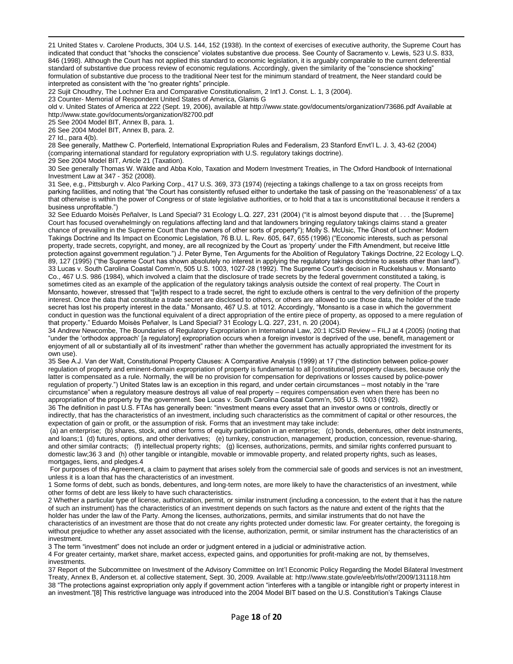21 United States v. Carolene Products, 304 U.S. 144, 152 (1938). In the context of exercises of executive authority, the Supreme Court has indicated that conduct that "shocks the conscience" violates substantive due process. See County of Sacramento v. Lewis, 523 U.S. 833, 846 (1998). Although the Court has not applied this standard to economic legislation, it is arguably comparable to the current deferential standard of substantive due process review of economic regulations. Accordingly, given the similarity of the "conscience shocking" formulation of substantive due process to the traditional Neer test for the minimum standard of treatment, the Neer standard could be interpreted as consistent with the "no greater rights" principle.

22 Sujit Choudhry, The Lochner Era and Comparative Constitutionalism, 2 Int'l J. Const. L. 1, 3 (2004).

23 Counter- Memorial of Respondent United States of America, Glamis G

old v. United States of America at 222 (Sept. 19, 2006), available at http://www.state.gov/documents/organization/73686.pdf Available at http://www.state.gov/documents/organization/82700.pdf

25 See 2004 Model BIT, Annex B, para. 1.

26 See 2004 Model BIT, Annex B, para. 2.

27 Id., para 4(b).

 $\overline{a}$ 

28 See generally, Matthew C. Porterfield, International Expropriation Rules and Federalism, 23 Stanford Envt'l L. J. 3, 43-62 (2004) (comparing international standard for regulatory expropriation with U.S. regulatory takings doctrine).

29 See 2004 Model BIT, Article 21 (Taxation).

30 See generally Thomas W. Wälde and Abba Kolo, Taxation and Modern Investment Treaties, in The Oxford Handbook of International Investment Law at 347 - 352 (2008).

31 See, e.g., Pittsburgh v. Alco Parking Corp., 417 U.S. 369, 373 (1974) (rejecting a takings challenge to a tax on gross receipts from parking facilities, and noting that "the Court has consistently refused either to undertake the task of passing on the 'reasonableness' of a tax that otherwise is within the power of Congress or of state legislative authorities, or to hold that a tax is unconstitutional because it renders a business unprofitable.")

32 See Eduardo Moisès Peñalver, Is Land Special? 31 Ecology L.Q. 227, 231 (2004) ("it is almost beyond dispute that . . . the [Supreme] Court has focused overwhelmingly on regulations affecting land and that landowners bringing regulatory takings claims stand a greater chance of prevailing in the Supreme Court than the owners of other sorts of property"); Molly S. McUsic, The Ghost of Lochner: Modern Takings Doctrine and Its Impact on Economic Legislation, 76 B.U. L. Rev. 605, 647, 655 (1996) ("Economic interests, such as personal property, trade secrets, copyright, and money, are all recognized by the Court as 'property' under the Fifth Amendment, but receive little protection against government regulation.") J. Peter Byrne, Ten Arguments for the Abolition of Regulatory Takings Doctrine, 22 Ecology L.Q. 89, 127 (1995) ("the Supreme Court has shown absolutely no interest in applying the regulatory takings doctrine to assets other than land"). 33 Lucas v. South Carolina Coastal Comm'n, 505 U.S. 1003, 1027-28 (1992). The Supreme Court's decision in Ruckelshaus v. Monsanto Co., 467 U.S. 986 (1984), which involved a claim that the disclosure of trade secrets by the federal government constituted a taking, is sometimes cited as an example of the application of the regulatory takings analysis outside the context of real property. The Court in Monsanto, however, stressed that "[w]ith respect to a trade secret, the right to exclude others is central to the very definition of the property interest. Once the data that constitute a trade secret are disclosed to others, or others are allowed to use those data, the holder of the trade secret has lost his property interest in the data." Monsanto, 467 U.S. at 1012. Accordingly, "Monsanto is a case in which the government conduct in question was the functional equivalent of a direct appropriation of the entire piece of property, as opposed to a mere regulation of that property." Eduardo Moisès Peñalver, Is Land Special? 31 Ecology L.Q. 227, 231, n. 20 (2004).

34 Andrew Newcombe, The Boundaries of Regulatory Expropriation in International Law, 20:1 ICSID Review – FILJ at 4 (2005) (noting that "under the 'orthodox approach' [a regulatory] expropriation occurs when a foreign investor is deprived of the use, benefit, management or enjoyment of all or substantially all of its investment" rather than whether the government has actually appropriated the investment for its own use).

35 See A.J. Van der Walt, Constitutional Property Clauses: A Comparative Analysis (1999) at 17 ("the distinction between police-power regulation of property and eminent-domain expropriation of property is fundamental to all [constitutional] property clauses, because only the latter is compensated as a rule. Normally, the will be no provision for compensation for deprivations or losses caused by police-power regulation of property.") United States law is an exception in this regard, and under certain circumstances – most notably in the "rare circumstance" when a regulatory measure destroys all value of real property – requires compensation even when there has been no appropriation of the property by the government. See Lucas v. South Carolina Coastal Comm'n, 505 U.S. 1003 (1992).

36 The definition in past U.S. FTAs has generally been: "investment means every asset that an investor owns or controls, directly or indirectly, that has the characteristics of an investment, including such characteristics as the commitment of capital or other resources, the expectation of gain or profit, or the assumption of risk. Forms that an investment may take include:

(a) an enterprise; (b) shares, stock, and other forms of equity participation in an enterprise; (c) bonds, debentures, other debt instruments, and loans;1 (d) futures, options, and other derivatives; (e) turnkey, construction, management, production, concession, revenue-sharing, and other similar contracts; (f) intellectual property rights; (g) licenses, authorizations, permits, and similar rights conferred pursuant to domestic law;36 3 and (h) other tangible or intangible, movable or immovable property, and related property rights, such as leases, mortgages, liens, and pledges.4

For purposes of this Agreement, a claim to payment that arises solely from the commercial sale of goods and services is not an investment, unless it is a loan that has the characteristics of an investment.

1 Some forms of debt, such as bonds, debentures, and long-term notes, are more likely to have the characteristics of an investment, while other forms of debt are less likely to have such characteristics.

2 Whether a particular type of license, authorization, permit, or similar instrument (including a concession, to the extent that it has the nature of such an instrument) has the characteristics of an investment depends on such factors as the nature and extent of the rights that the holder has under the law of the Party. Among the licenses, authorizations, permits, and similar instruments that do not have the characteristics of an investment are those that do not create any rights protected under domestic law. For greater certainty, the foregoing is without prejudice to whether any asset associated with the license, authorization, permit, or similar instrument has the characteristics of an investment.

3 The term "investment" does not include an order or judgment entered in a judicial or administrative action.

4 For greater certainty, market share, market access, expected gains, and opportunities for profit-making are not, by themselves, investments.

37 Report of the Subcommittee on Investment of the Advisory Committee on Int'l Economic Policy Regarding the Model Bilateral Investment Treaty, Annex B, Anderson et. al collective statement, Sept. 30, 2009. Available at[: http://www.state.gov/e/eeb/rls/othr/2009/131118.htm](http://www.state.gov/e/eeb/rls/othr/2009/131118.htm) 38 "The protections against expropriation only apply if government action "interferes with a tangible or intangible right or property interest in an investment."[8] This restrictive language was introduced into the 2004 Model BIT based on the U.S. Constitution's Takings Clause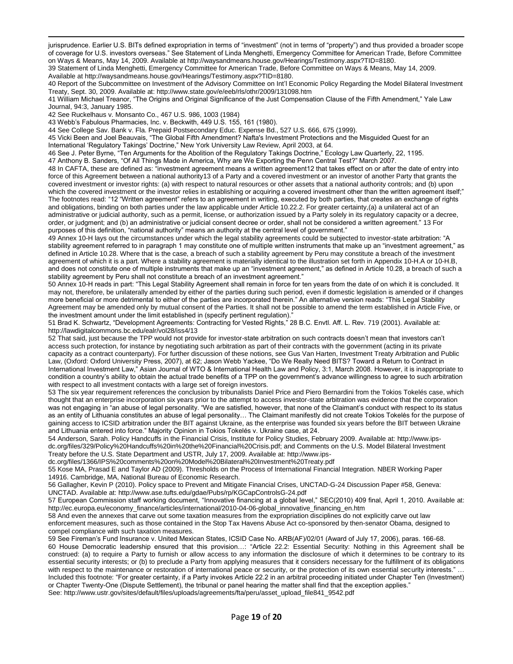$\overline{a}$ jurisprudence. Earlier U.S. BITs defined expropriation in terms of "investment" (not in terms of "property") and thus provided a broader scope of coverage for U.S. investors overseas." See Statement of Linda Menghetti, Emergency Committee for American Trade, Before Committee on Ways & Means, May 14, 2009. Available a[t http://waysandmeans.house.gov/Hearings/Testimony.aspx?TID=8180.](http://waysandmeans.house.gov/Hearings/Testimony.aspx?TID=8180)

39 Statement of Linda Menghetti, Emergency Committee for American Trade, Before Committee on Ways & Means, May 14, 2009. Available a[t http://waysandmeans.house.gov/Hearings/Testimony.aspx?TID=8180.](http://waysandmeans.house.gov/Hearings/Testimony.aspx?TID=8180)

40 Report of the Subcommittee on Investment of the Advisory Committee on Int'l Economic Policy Regarding the Model Bilateral Investment Treaty, Sept. 30, 2009. Available at: http://www.state.gov/e/eeb/rls/othr/2009/131098.htm

41 William Michael Treanor, "The Origins and Original Significance of the Just Compensation Clause of the Fifth Amendment," Yale Law Journal, 94:3, January 1985.

42 See Ruckelhaus v. Monsanto Co., 467 U.S. 986, 1003 (1984)

43 Webb's Fabulous Pharmacies, Inc. v. Beckwith, 449 U.S. 155, 161 (1980).

44 See College Sav. Bank v. Fla. Prepaid Postsecondary Educ. Expense Bd., 527 U.S. 666, 675 (1999).

45 Vicki Been and Joel Beauvais, "The Global Fifth Amendment? Nafta's Investment Protections and the Misguided Quest for an

International 'Regulatory Takings' Doctrine," New York University Law Review, April 2003, at 64.

46 See J. Peter Byrne, "Ten Arguments for the Abolition of the Regulatory Takings Doctrine," Ecology Law Quarterly, 22, 1195.

47 Anthony B. Sanders, "Of All Things Made in America, Why are We Exporting the Penn Central Test?" March 2007.

48 In CAFTA, these are defined as: "investment agreement means a written agreement12 that takes effect on or after the date of entry into force of this Agreement between a national authority13 of a Party and a covered investment or an investor of another Party that grants the covered investment or investor rights: (a) with respect to natural resources or other assets that a national authority controls; and (b) upon which the covered investment or the investor relies in establishing or acquiring a covered investment other than the written agreement itself;" The footnotes read: "12 "Written agreement" refers to an agreement in writing, executed by both parties, that creates an exchange of rights and obligations, binding on both parties under the law applicable under Article 10.22.2. For greater certainty,(a) a unilateral act of an administrative or judicial authority, such as a permit, license, or authorization issued by a Party solely in its regulatory capacity or a decree, order, or judgment; and (b) an administrative or judicial consent decree or order, shall not be considered a written agreement." 13 For purposes of this definition, "national authority" means an authority at the central level of government."

49 Annex 10-H lays out the circumstances under which the legal stability agreements could be subjected to investor-state arbitration: "A stability agreement referred to in paragraph 1 may constitute one of multiple written instruments that make up an "investment agreement," as defined in Article 10.28. Where that is the case, a breach of such a stability agreement by Peru may constitute a breach of the investment agreement of which it is a part. Where a stability agreement is materially identical to the illustration set forth in Appendix 10-H.A or 10-H.B, and does not constitute one of multiple instruments that make up an "investment agreement," as defined in Article 10.28, a breach of such a stability agreement by Peru shall not constitute a breach of an investment agreement."

50 Annex 10-H reads in part: "This Legal Stability Agreement shall remain in force for ten years from the date of on which it is concluded. It may not, therefore, be unilaterally amended by either of the parties during such period, even if domestic legislation is amended or if changes more beneficial or more detrimental to either of the parties are incorporated therein." An alternative version reads: "This Legal Stability Agreement may be amended only by mutual consent of the Parties. It shall not be possible to amend the term established in Article Five, or the investment amount under the limit established in (specify pertinent regulation)."

51 Brad K. Schwartz, "Development Agreements: Contracting for Vested Rights," 28 B.C. Envtl. Aff. L. Rev. 719 (2001). Available at: http://lawdigitalcommons.bc.edu/ealr/vol28/iss4/13

52 That said, just because the TPP would not provide for investor-state arbitration on such contracts doesn't mean that investors can't access such protection, for instance by negotiating such arbitration as part of their contracts with the government (acting in its private capacity as a contract counterparty). For further discussion of these notions, see Gus Van Harten, Investment Treaty Arbitration and Public Law, (Oxford: Oxford University Press, 2007), at 62; Jason Webb Yackee, "Do We Really Need BITS? Toward a Return to Contract in International Investment Law," Asian Journal of WTO & International Health Law and Policy, 3:1, March 2008. However, it is inappropriate to condition a country's ability to obtain the actual trade benefits of a TPP on the government's advance willingness to agree to such arbitration with respect to all investment contacts with a large set of foreign investors.

53 The six year requirement references the conclusion by tribunalists Daniel Price and Piero Bernardini from the Tokios Tokelés case, which thought that an enterprise incorporation six years prior to the attempt to access investor-state arbitration was evidence that the corporation was not engaging in "an abuse of legal personality. "We are satisfied, however, that none of the Claimant's conduct with respect to its status as an entity of Lithuania constitutes an abuse of legal personality… The Claimant manifestly did not create Tokios Tokelės for the purpose of gaining access to ICSID arbitration under the BIT against Ukraine, as the enterprise was founded six years before the BIT between Ukraine and Lithuania entered into force." Majority Opinion in Tokios Tokelés v. Ukraine case, at 24.

54 Anderson, Sarah. Policy Handcuffs in the Financial Crisis, Institute for Policy Studies, February 2009. Available at: [http://www.ips](http://www.ips-dc.org/files/329/Policy%20Handcuffs%20in%20the%20Financial%20Crisis.pdf)[dc.org/files/329/Policy%20Handcuffs%20in%20the%20Financial%20Crisis.pdf;](http://www.ips-dc.org/files/329/Policy%20Handcuffs%20in%20the%20Financial%20Crisis.pdf) and Comments on the U.S. Model Bilateral Investment Treaty before the U.S. State Department and USTR, July 17, 2009. Available at: http://www.ips-

dc.org/files/1366/IPS%20comments%20on%20Model%20Bilateral%20Investment%20Treaty.pdf

55 Kose MA, Prasad E and Taylor AD (2009). Thresholds on the Process of International Financial Integration. NBER Working Paper 14916. Cambridge, MA, National Bureau of Economic Research.

56 Gallagher, Kevin P (2010). Policy space to Prevent and Mitigate Financial Crises, UNCTAD-G-24 Discussion Paper #58, Geneva: UNCTAD. Available at:<http://www.ase.tufts.edu/gdae/Pubs/rp/KGCapControlsG-24.pdf>

57 European Commission staff working document, "Innovative financing at a global level," SEC(2010) 409 final, April 1, 2010. Available at: http://ec.europa.eu/economy\_finance/articles/international/2010-04-06-global\_innovative\_financing\_en.htm

58 And even the annexes that carve out some taxation measures from the expropriation disciplines do not explicitly carve out law enforcement measures, such as those contained in the Stop Tax Havens Abuse Act co-sponsored by then-senator Obama, designed to compel compliance with such taxation measures.

59 See Fireman's Fund Insurance v. United Mexican States, ICSID Case No. ARB(AF)/02/01 (Award of July 17, 2006), paras. 166-68. 60 House Democratic leadership ensured that this provision…: "Article 22.2: Essential Security: Nothing in this Agreement shall be construed: (a) to require a Party to furnish or allow access to any information the disclosure of which it determines to be contrary to its essential security interests; or (b) to preclude a Party from applying measures that it considers necessary for the fulfillment of its obligations with respect to the maintenance or restoration of international peace or security, or the protection of its own essential security interests." ... Included this footnote: "For greater certainty, if a Party invokes Article 22.2 in an arbitral proceeding initiated under Chapter Ten (Investment) or Chapter Twenty-One (Dispute Settlement), the tribunal or panel hearing the matter shall find that the exception applies." See: http://www.ustr.gov/sites/default/files/uploads/agreements/fta/peru/asset\_upload\_file841\_9542.pdf